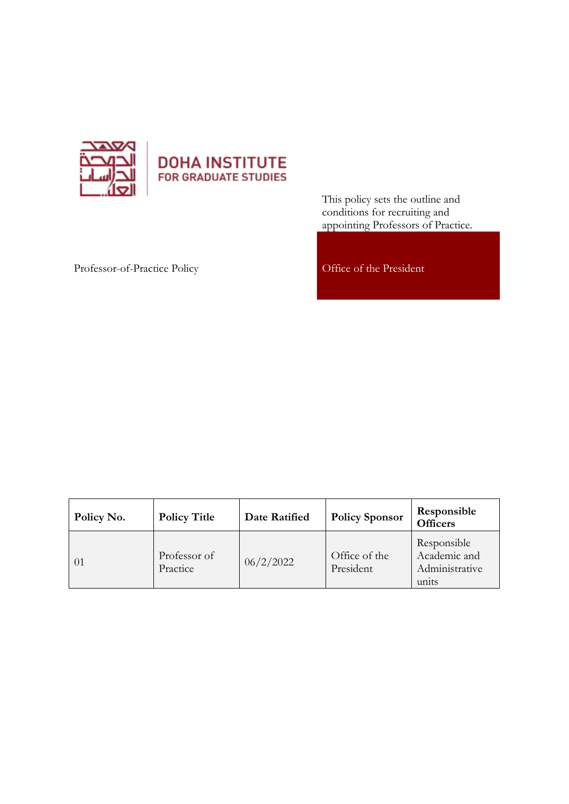

# **DOHA INSTITUTE** FOR GRADUATE STUDIES

This policy sets the outline and conditions for recruiting and appointing Professors of Practice.

## Professor-of-Practice Policy Office of the President

| Policy No. | <b>Policy Title</b>      | Date Ratified | <b>Policy Sponsor</b>      | Responsible<br><b>Officers</b>                         |
|------------|--------------------------|---------------|----------------------------|--------------------------------------------------------|
| - 01       | Professor of<br>Practice | 06/2/2022     | Office of the<br>President | Responsible<br>Academic and<br>Administrative<br>units |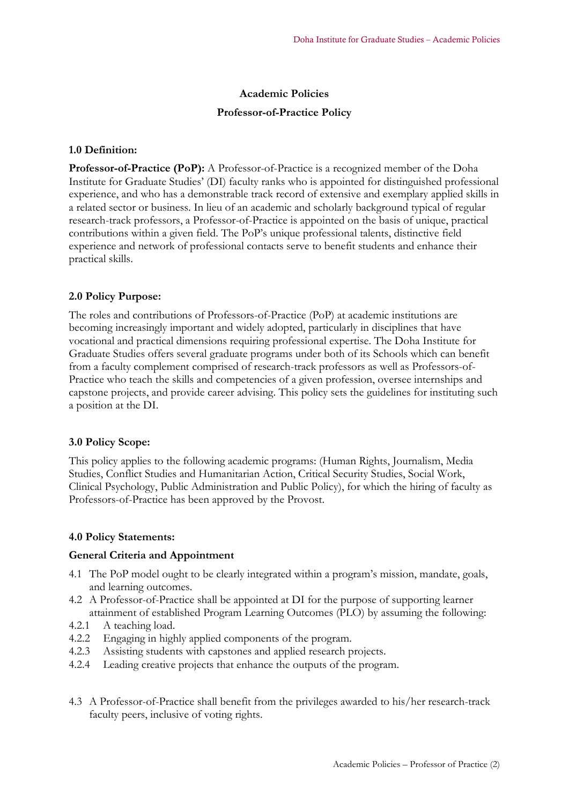## **Academic Policies**

## **Professor-of-Practice Policy**

## **1.0 Definition:**

**Professor-of-Practice (PoP):** A Professor-of-Practice is a recognized member of the Doha Institute for Graduate Studies' (DI) faculty ranks who is appointed for distinguished professional experience, and who has a demonstrable track record of extensive and exemplary applied skills in a related sector or business. In lieu of an academic and scholarly background typical of regular research-track professors, a Professor-of-Practice is appointed on the basis of unique, practical contributions within a given field. The PoP's unique professional talents, distinctive field experience and network of professional contacts serve to benefit students and enhance their practical skills.

## **2.0 Policy Purpose:**

The roles and contributions of Professors-of-Practice (PoP) at academic institutions are becoming increasingly important and widely adopted, particularly in disciplines that have vocational and practical dimensions requiring professional expertise. The Doha Institute for Graduate Studies offers several graduate programs under both of its Schools which can benefit from a faculty complement comprised of research-track professors as well as Professors-of-Practice who teach the skills and competencies of a given profession, oversee internships and capstone projects, and provide career advising. This policy sets the guidelines for instituting such a position at the DI.

## **3.0 Policy Scope:**

This policy applies to the following academic programs: (Human Rights, Journalism, Media Studies, Conflict Studies and Humanitarian Action, Critical Security Studies, Social Work, Clinical Psychology, Public Administration and Public Policy), for which the hiring of faculty as Professors-of-Practice has been approved by the Provost.

## **4.0 Policy Statements:**

## **General Criteria and Appointment**

- 4.1 The PoP model ought to be clearly integrated within a program's mission, mandate, goals, and learning outcomes.
- 4.2 A Professor-of-Practice shall be appointed at DI for the purpose of supporting learner attainment of established Program Learning Outcomes (PLO) by assuming the following:
- 4.2.1 A teaching load.
- 4.2.2 Engaging in highly applied components of the program.
- 4.2.3 Assisting students with capstones and applied research projects.
- 4.2.4 Leading creative projects that enhance the outputs of the program.
- 4.3 A Professor-of-Practice shall benefit from the privileges awarded to his/her research-track faculty peers, inclusive of voting rights.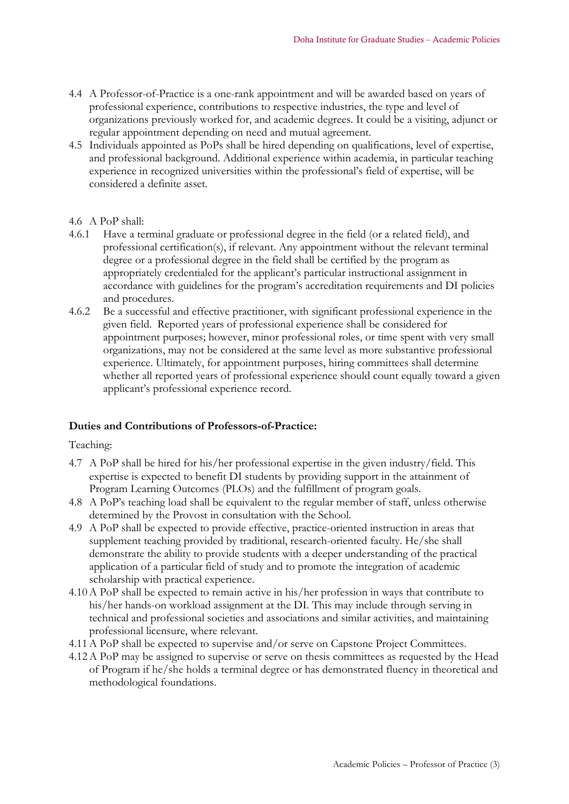- 4.4 A Professor-of-Practice is a one-rank appointment and will be awarded based on years of professional experience, contributions to respective industries, the type and level of organizations previously worked for, and academic degrees. It could be a visiting, adjunct or regular appointment depending on need and mutual agreement.
- 4.5 Individuals appointed as PoPs shall be hired depending on qualifications, level of expertise, and professional background. Additional experience within academia, in particular teaching experience in recognized universities within the professional's field of expertise, will be considered a definite asset.

## 4.6 A PoP shall:

- 4.6.1 Have a terminal graduate or professional degree in the field (or a related field), and professional certification(s), if relevant. Any appointment without the relevant terminal degree or a professional degree in the field shall be certified by the program as appropriately credentialed for the applicant's particular instructional assignment in accordance with guidelines for the program's accreditation requirements and DI policies and procedures.
- 4.6.2 Be a successful and effective practitioner, with significant professional experience in the given field. Reported years of professional experience shall be considered for appointment purposes; however, minor professional roles, or time spent with very small organizations, may not be considered at the same level as more substantive professional experience. Ultimately, for appointment purposes, hiring committees shall determine whether all reported years of professional experience should count equally toward a given applicant's professional experience record.

## **Duties and Contributions of Professors-of-Practice:**

## Teaching:

- 4.7 A PoP shall be hired for his/her professional expertise in the given industry/field. This expertise is expected to benefit DI students by providing support in the attainment of Program Learning Outcomes (PLOs) and the fulfillment of program goals.
- 4.8 A PoP's teaching load shall be equivalent to the regular member of staff, unless otherwise determined by the Provost in consultation with the School.
- 4.9 A PoP shall be expected to provide effective, practice-oriented instruction in areas that supplement teaching provided by traditional, research-oriented faculty. He/she shall demonstrate the ability to provide students with a deeper understanding of the practical application of a particular field of study and to promote the integration of academic scholarship with practical experience.
- 4.10A PoP shall be expected to remain active in his/her profession in ways that contribute to his/her hands-on workload assignment at the DI. This may include through serving in technical and professional societies and associations and similar activities, and maintaining professional licensure, where relevant.
- 4.11A PoP shall be expected to supervise and/or serve on Capstone Project Committees.
- 4.12A PoP may be assigned to supervise or serve on thesis committees as requested by the Head of Program if he/she holds a terminal degree or has demonstrated fluency in theoretical and methodological foundations.